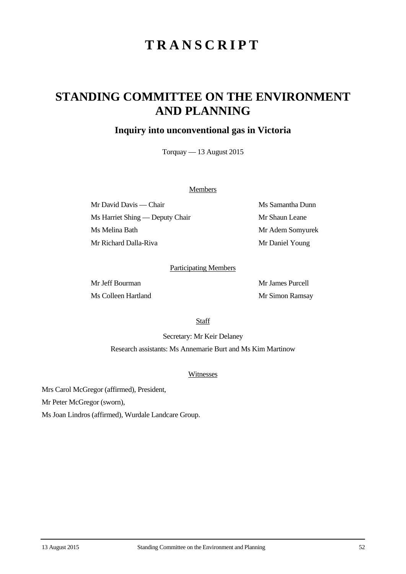# **TRANSCRIPT**

## **STANDING COMMITTEE ON THE ENVIRONMENT AND PLANNING**

### **Inquiry into unconventional gas in Victoria**

Torquay — 13 August 2015

#### **Members**

Mr David Davis — Chair Ms Samantha Dunn Ms Harriet Shing — Deputy Chair Mr Shaun Leane Ms Melina Bath Mr Adem Somyurek Mr Richard Dalla-Riva Mr Daniel Young

#### Participating Members

Mr Jeff Bourman Mr James Purcell Ms Colleen Hartland Mr Simon Ramsay

**Staff** 

Secretary: Mr Keir Delaney

Research assistants: Ms Annemarie Burt and Ms Kim Martinow

#### Witnesses

Mrs Carol McGregor (affirmed), President,

Mr Peter McGregor (sworn),

Ms Joan Lindros (affirmed), Wurdale Landcare Group.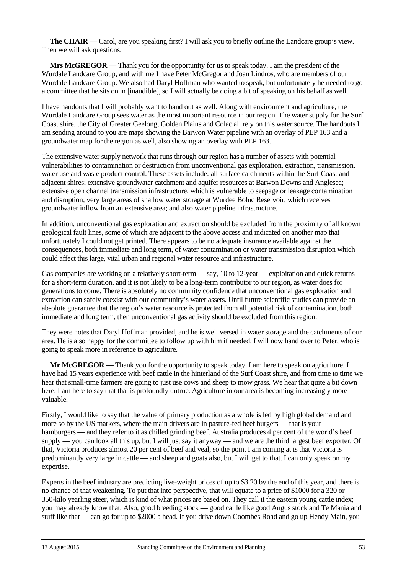**The CHAIR** — Carol, are you speaking first? I will ask you to briefly outline the Landcare group's view. Then we will ask questions.

**Mrs McGREGOR** — Thank you for the opportunity for us to speak today. I am the president of the Wurdale Landcare Group, and with me I have Peter McGregor and Joan Lindros, who are members of our Wurdale Landcare Group. We also had Daryl Hoffman who wanted to speak, but unfortunately he needed to go a committee that he sits on in [inaudible], so I will actually be doing a bit of speaking on his behalf as well.

I have handouts that I will probably want to hand out as well. Along with environment and agriculture, the Wurdale Landcare Group sees water as the most important resource in our region. The water supply for the Surf Coast shire, the City of Greater Geelong, Golden Plains and Colac all rely on this water source. The handouts I am sending around to you are maps showing the Barwon Water pipeline with an overlay of PEP 163 and a groundwater map for the region as well, also showing an overlay with PEP 163.

The extensive water supply network that runs through our region has a number of assets with potential vulnerabilities to contamination or destruction from unconventional gas exploration, extraction, transmission, water use and waste product control. These assets include: all surface catchments within the Surf Coast and adjacent shires; extensive groundwater catchment and aquifer resources at Barwon Downs and Anglesea; extensive open channel transmission infrastructure, which is vulnerable to seepage or leakage contamination and disruption; very large areas of shallow water storage at Wurdee Boluc Reservoir, which receives groundwater inflow from an extensive area; and also water pipeline infrastructure.

In addition, unconventional gas exploration and extraction should be excluded from the proximity of all known geological fault lines, some of which are adjacent to the above access and indicated on another map that unfortunately I could not get printed. There appears to be no adequate insurance available against the consequences, both immediate and long term, of water contamination or water transmission disruption which could affect this large, vital urban and regional water resource and infrastructure.

Gas companies are working on a relatively short-term — say, 10 to 12-year — exploitation and quick returns for a short-term duration, and it is not likely to be a long-term contributor to our region, as water does for generations to come. There is absolutely no community confidence that unconventional gas exploration and extraction can safely coexist with our community's water assets. Until future scientific studies can provide an absolute guarantee that the region's water resource is protected from all potential risk of contamination, both immediate and long term, then unconventional gas activity should be excluded from this region.

They were notes that Daryl Hoffman provided, and he is well versed in water storage and the catchments of our area. He is also happy for the committee to follow up with him if needed. I will now hand over to Peter, who is going to speak more in reference to agriculture.

**Mr McGREGOR** — Thank you for the opportunity to speak today. I am here to speak on agriculture. I have had 15 years experience with beef cattle in the hinterland of the Surf Coast shire, and from time to time we hear that small-time farmers are going to just use cows and sheep to mow grass. We hear that quite a bit down here. I am here to say that that is profoundly untrue. Agriculture in our area is becoming increasingly more valuable.

Firstly, I would like to say that the value of primary production as a whole is led by high global demand and more so by the US markets, where the main drivers are in pasture-fed beef burgers — that is your hamburgers — and they refer to it as chilled grinding beef. Australia produces 4 per cent of the world's beef supply — you can look all this up, but I will just say it anyway — and we are the third largest beef exporter. Of that, Victoria produces almost 20 per cent of beef and veal, so the point I am coming at is that Victoria is predominantly very large in cattle — and sheep and goats also, but I will get to that. I can only speak on my expertise.

Experts in the beef industry are predicting live-weight prices of up to \$3.20 by the end of this year, and there is no chance of that weakening. To put that into perspective, that will equate to a price of \$1000 for a 320 or 350-kilo yearling steer, which is kind of what prices are based on. They call it the eastern young cattle index; you may already know that. Also, good breeding stock — good cattle like good Angus stock and Te Mania and stuff like that — can go for up to \$2000 a head. If you drive down Coombes Road and go up Hendy Main, you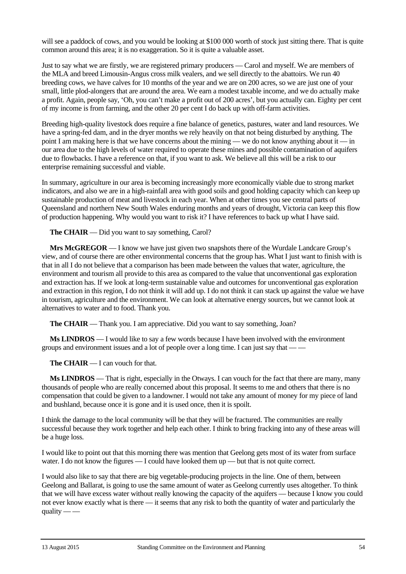will see a paddock of cows, and you would be looking at \$100 000 worth of stock just sitting there. That is quite common around this area; it is no exaggeration. So it is quite a valuable asset.

Just to say what we are firstly, we are registered primary producers — Carol and myself. We are members of the MLA and breed Limousin-Angus cross milk vealers, and we sell directly to the abattoirs. We run 40 breeding cows, we have calves for 10 months of the year and we are on 200 acres, so we are just one of your small, little plod-alongers that are around the area. We earn a modest taxable income, and we do actually make a profit. Again, people say, 'Oh, you can't make a profit out of 200 acres', but you actually can. Eighty per cent of my income is from farming, and the other 20 per cent I do back up with off-farm activities.

Breeding high-quality livestock does require a fine balance of genetics, pastures, water and land resources. We have a spring-fed dam, and in the dryer months we rely heavily on that not being disturbed by anything. The point I am making here is that we have concerns about the mining — we do not know anything about it — in our area due to the high levels of water required to operate these mines and possible contamination of aquifers due to flowbacks. I have a reference on that, if you want to ask. We believe all this will be a risk to our enterprise remaining successful and viable.

In summary, agriculture in our area is becoming increasingly more economically viable due to strong market indicators, and also we are in a high-rainfall area with good soils and good holding capacity which can keep up sustainable production of meat and livestock in each year. When at other times you see central parts of Queensland and northern New South Wales enduring months and years of drought, Victoria can keep this flow of production happening. Why would you want to risk it? I have references to back up what I have said.

**The CHAIR** — Did you want to say something, Carol?

**Mrs McGREGOR** — I know we have just given two snapshots there of the Wurdale Landcare Group's view, and of course there are other environmental concerns that the group has. What I just want to finish with is that in all I do not believe that a comparison has been made between the values that water, agriculture, the environment and tourism all provide to this area as compared to the value that unconventional gas exploration and extraction has. If we look at long-term sustainable value and outcomes for unconventional gas exploration and extraction in this region, I do not think it will add up. I do not think it can stack up against the value we have in tourism, agriculture and the environment. We can look at alternative energy sources, but we cannot look at alternatives to water and to food. Thank you.

**The CHAIR** — Thank you. I am appreciative. Did you want to say something, Joan?

**Ms LINDROS** — I would like to say a few words because I have been involved with the environment groups and environment issues and a lot of people over a long time. I can just say that — —

**The CHAIR** — I can vouch for that.

**Ms LINDROS** — That is right, especially in the Otways. I can vouch for the fact that there are many, many thousands of people who are really concerned about this proposal. It seems to me and others that there is no compensation that could be given to a landowner. I would not take any amount of money for my piece of land and bushland, because once it is gone and it is used once, then it is spoilt.

I think the damage to the local community will be that they will be fractured. The communities are really successful because they work together and help each other. I think to bring fracking into any of these areas will be a huge loss.

I would like to point out that this morning there was mention that Geelong gets most of its water from surface water. I do not know the figures — I could have looked them up — but that is not quite correct.

I would also like to say that there are big vegetable-producing projects in the line. One of them, between Geelong and Ballarat, is going to use the same amount of water as Geelong currently uses altogether. To think that we will have excess water without really knowing the capacity of the aquifers — because I know you could not ever know exactly what is there — it seems that any risk to both the quantity of water and particularly the quality  $-$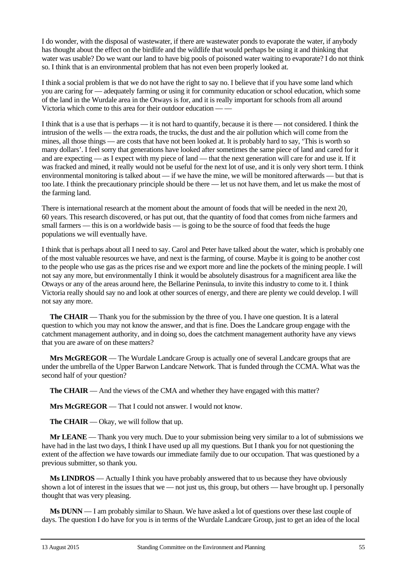I do wonder, with the disposal of wastewater, if there are wastewater ponds to evaporate the water, if anybody has thought about the effect on the birdlife and the wildlife that would perhaps be using it and thinking that water was usable? Do we want our land to have big pools of poisoned water waiting to evaporate? I do not think so. I think that is an environmental problem that has not even been properly looked at.

I think a social problem is that we do not have the right to say no. I believe that if you have some land which you are caring for — adequately farming or using it for community education or school education, which some of the land in the Wurdale area in the Otways is for, and it is really important for schools from all around Victoria which come to this area for their outdoor education — —

I think that is a use that is perhaps — it is not hard to quantify, because it is there — not considered. I think the intrusion of the wells — the extra roads, the trucks, the dust and the air pollution which will come from the mines, all those things — are costs that have not been looked at. It is probably hard to say, 'This is worth so many dollars'. I feel sorry that generations have looked after sometimes the same piece of land and cared for it and are expecting — as I expect with my piece of land — that the next generation will care for and use it. If it was fracked and mined, it really would not be useful for the next lot of use, and it is only very short term. I think environmental monitoring is talked about — if we have the mine, we will be monitored afterwards — but that is too late. I think the precautionary principle should be there — let us not have them, and let us make the most of the farming land.

There is international research at the moment about the amount of foods that will be needed in the next 20, 60 years. This research discovered, or has put out, that the quantity of food that comes from niche farmers and small farmers — this is on a worldwide basis — is going to be the source of food that feeds the huge populations we will eventually have.

I think that is perhaps about all I need to say. Carol and Peter have talked about the water, which is probably one of the most valuable resources we have, and next is the farming, of course. Maybe it is going to be another cost to the people who use gas as the prices rise and we export more and line the pockets of the mining people. I will not say any more, but environmentally I think it would be absolutely disastrous for a magnificent area like the Otways or any of the areas around here, the Bellarine Peninsula, to invite this industry to come to it. I think Victoria really should say no and look at other sources of energy, and there are plenty we could develop. I will not say any more.

**The CHAIR** — Thank you for the submission by the three of you. I have one question. It is a lateral question to which you may not know the answer, and that is fine. Does the Landcare group engage with the catchment management authority, and in doing so, does the catchment management authority have any views that you are aware of on these matters?

**Mrs McGREGOR** — The Wurdale Landcare Group is actually one of several Landcare groups that are under the umbrella of the Upper Barwon Landcare Network. That is funded through the CCMA. What was the second half of your question?

**The CHAIR** — And the views of the CMA and whether they have engaged with this matter?

**Mrs McGREGOR** — That I could not answer. I would not know.

**The CHAIR** — Okay, we will follow that up.

**Mr LEANE** — Thank you very much. Due to your submission being very similar to a lot of submissions we have had in the last two days, I think I have used up all my questions. But I thank you for not questioning the extent of the affection we have towards our immediate family due to our occupation. That was questioned by a previous submitter, so thank you.

**Ms LINDROS** — Actually I think you have probably answered that to us because they have obviously shown a lot of interest in the issues that we — not just us, this group, but others — have brought up. I personally thought that was very pleasing.

**Ms DUNN** — I am probably similar to Shaun. We have asked a lot of questions over these last couple of days. The question I do have for you is in terms of the Wurdale Landcare Group, just to get an idea of the local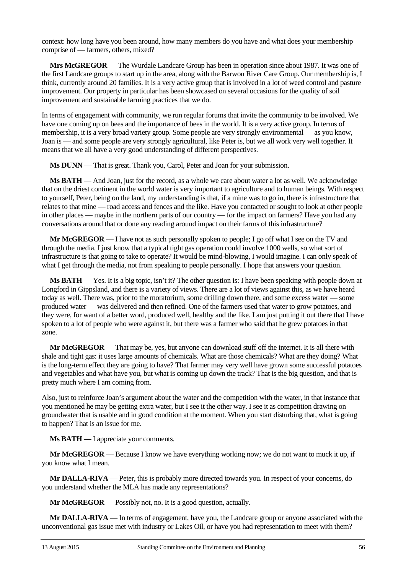context: how long have you been around, how many members do you have and what does your membership comprise of — farmers, others, mixed?

**Mrs McGREGOR** — The Wurdale Landcare Group has been in operation since about 1987. It was one of the first Landcare groups to start up in the area, along with the Barwon River Care Group. Our membership is, I think, currently around 20 families. It is a very active group that is involved in a lot of weed control and pasture improvement. Our property in particular has been showcased on several occasions for the quality of soil improvement and sustainable farming practices that we do.

In terms of engagement with community, we run regular forums that invite the community to be involved. We have one coming up on bees and the importance of bees in the world. It is a very active group. In terms of membership, it is a very broad variety group. Some people are very strongly environmental — as you know, Joan is — and some people are very strongly agricultural, like Peter is, but we all work very well together. It means that we all have a very good understanding of different perspectives.

**Ms DUNN** — That is great. Thank you, Carol, Peter and Joan for your submission.

**Ms BATH** — And Joan, just for the record, as a whole we care about water a lot as well. We acknowledge that on the driest continent in the world water is very important to agriculture and to human beings. With respect to yourself, Peter, being on the land, my understanding is that, if a mine was to go in, there is infrastructure that relates to that mine — road access and fences and the like. Have you contacted or sought to look at other people in other places — maybe in the northern parts of our country — for the impact on farmers? Have you had any conversations around that or done any reading around impact on their farms of this infrastructure?

**Mr McGREGOR** — I have not as such personally spoken to people; I go off what I see on the TV and through the media. I just know that a typical tight gas operation could involve 1000 wells, so what sort of infrastructure is that going to take to operate? It would be mind-blowing, I would imagine. I can only speak of what I get through the media, not from speaking to people personally. I hope that answers your question.

**Ms BATH** — Yes. It is a big topic, isn't it? The other question is: I have been speaking with people down at Longford in Gippsland, and there is a variety of views. There are a lot of views against this, as we have heard today as well. There was, prior to the moratorium, some drilling down there, and some excess water — some produced water — was delivered and then refined. One of the farmers used that water to grow potatoes, and they were, for want of a better word, produced well, healthy and the like. I am just putting it out there that I have spoken to a lot of people who were against it, but there was a farmer who said that he grew potatoes in that zone.

**Mr McGREGOR** — That may be, yes, but anyone can download stuff off the internet. It is all there with shale and tight gas: it uses large amounts of chemicals. What are those chemicals? What are they doing? What is the long-term effect they are going to have? That farmer may very well have grown some successful potatoes and vegetables and what have you, but what is coming up down the track? That is the big question, and that is pretty much where I am coming from.

Also, just to reinforce Joan's argument about the water and the competition with the water, in that instance that you mentioned he may be getting extra water, but I see it the other way. I see it as competition drawing on groundwater that is usable and in good condition at the moment. When you start disturbing that, what is going to happen? That is an issue for me.

**Ms BATH** — I appreciate your comments.

**Mr McGREGOR** — Because I know we have everything working now; we do not want to muck it up, if you know what I mean.

**Mr DALLA-RIVA** — Peter, this is probably more directed towards you. In respect of your concerns, do you understand whether the MLA has made any representations?

**Mr McGREGOR** — Possibly not, no. It is a good question, actually.

**Mr DALLA-RIVA** — In terms of engagement, have you, the Landcare group or anyone associated with the unconventional gas issue met with industry or Lakes Oil, or have you had representation to meet with them?